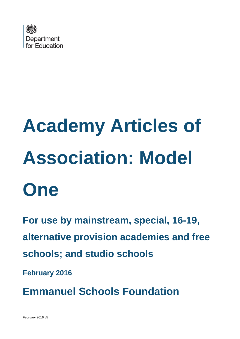

# **Academy Articles of Association: Model One**

**For use by mainstream, special, 16-19, alternative provision academies and free schools; and studio schools**

**February 2016**

**Emmanuel Schools Foundation**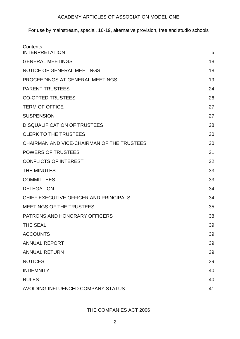For use by mainstream, special, 16-19, alternative provision, free and studio schools

| Contents<br><b>INTERPRETATION</b>          | 5  |
|--------------------------------------------|----|
| <b>GENERAL MEETINGS</b>                    | 18 |
| <b>NOTICE OF GENERAL MEETINGS</b>          | 18 |
| PROCEEDINGS AT GENERAL MEETINGS            | 19 |
| <b>PARENT TRUSTEES</b>                     | 24 |
| <b>CO-OPTED TRUSTEES</b>                   | 26 |
| <b>TERM OF OFFICE</b>                      | 27 |
| <b>SUSPENSION</b>                          | 27 |
| <b>DISQUALIFICATION OF TRUSTEES</b>        | 28 |
| <b>CLERK TO THE TRUSTEES</b>               | 30 |
| CHAIRMAN AND VICE-CHAIRMAN OF THE TRUSTEES | 30 |
| <b>POWERS OF TRUSTEES</b>                  | 31 |
| <b>CONFLICTS OF INTEREST</b>               | 32 |
| <b>THE MINUTES</b>                         | 33 |
| <b>COMMITTEES</b>                          | 33 |
| <b>DELEGATION</b>                          | 34 |
| CHIEF EXECUTIVE OFFICER AND PRINCIPALS     | 34 |
| <b>MEETINGS OF THE TRUSTEES</b>            | 35 |
| <b>PATRONS AND HONORARY OFFICERS</b>       | 38 |
| <b>THE SEAL</b>                            | 39 |
| <b>ACCOUNTS</b>                            | 39 |
| <b>ANNUAL REPORT</b>                       | 39 |
| <b>ANNUAL RETURN</b>                       | 39 |
| <b>NOTICES</b>                             | 39 |
| <b>INDEMNITY</b>                           | 40 |
| <b>RULES</b>                               | 40 |
| AVOIDING INFLUENCED COMPANY STATUS         | 41 |

THE COMPANIES ACT 2006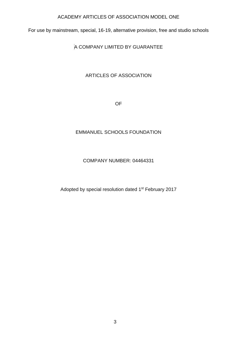For use by mainstream, special, 16-19, alternative provision, free and studio schools

A COMPANY LIMITED BY GUARANTEE

# ARTICLES OF ASSOCIATION

OF

# EMMANUEL SCHOOLS FOUNDATION

# COMPANY NUMBER: 04464331

Adopted by special resolution dated 1<sup>st</sup> February 2017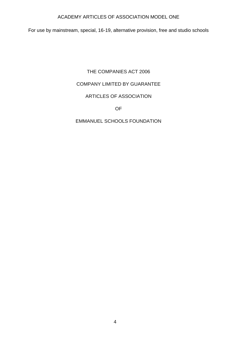For use by mainstream, special, 16-19, alternative provision, free and studio schools

# THE COMPANIES ACT 2006

# COMPANY LIMITED BY GUARANTEE

# ARTICLES OF ASSOCIATION

OF

# EMMANUEL SCHOOLS FOUNDATION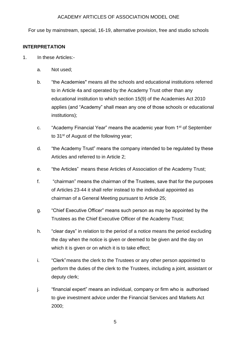For use by mainstream, special, 16-19, alternative provision, free and studio schools

#### <span id="page-4-0"></span>**INTERPRETATION**

- 1. In these Articles:
	- a. Not used;
	- b. "the Academies" means all the schools and educational institutions referred to in Article 4a and operated by the Academy Trust other than any educational institution to which section 15(9) of the Academies Act 2010 applies (and "Academy" shall mean any one of those schools or educational institutions);
	- c. "Academy Financial Year" means the academic year from 1st of September to 31<sup>st</sup> of August of the following year;
	- d. "the Academy Trust" means the company intended to be regulated by these Articles and referred to in Article 2;
	- e. "the Articles" means these Articles of Association of the Academy Trust;
	- f. "chairman" means the chairman of the Trustees, save that for the purposes of Articles 23-44 it shall refer instead to the individual appointed as chairman of a General Meeting pursuant to Article 25;
	- g. "Chief Executive Officer" means such person as may be appointed by the Trustees as the Chief Executive Officer of the Academy Trust;
	- h. "clear days" in relation to the period of a notice means the period excluding the day when the notice is given or deemed to be given and the day on which it is given or on which it is to take effect;
	- i. "Clerk"means the clerk to the Trustees or any other person appointed to perform the duties of the clerk to the Trustees, including a joint, assistant or deputy clerk;
	- j. "financial expert" means an individual, company or firm who is authorised to give investment advice under the Financial Services and Markets Act 2000;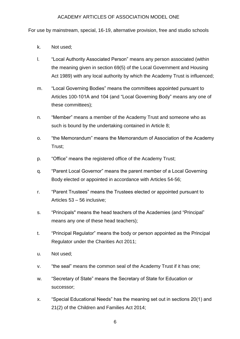For use by mainstream, special, 16-19, alternative provision, free and studio schools

- k. Not used;
- l. "Local Authority Associated Person" means any person associated (within the meaning given in section 69(5) of the Local Government and Housing Act 1989) with any local authority by which the Academy Trust is influenced;
- m. "Local Governing Bodies" means the committees appointed pursuant to Articles 100-101A and 104 (and "Local Governing Body" means any one of these committees);
- n. "Member" means a member of the Academy Trust and someone who as such is bound by the undertaking contained in Article 8;
- o. "the Memorandum" means the Memorandum of Association of the Academy Trust;
- p. "Office" means the registered office of the Academy Trust;
- q. "Parent Local Governor" means the parent member of a Local Governing Body elected or appointed in accordance with Articles 54-56;
- r. "Parent Trustees" means the Trustees elected or appointed pursuant to Articles 53 – 56 inclusive;
- s. "Principals" means the head teachers of the Academies (and "Principal" means any one of these head teachers);
- t. "Principal Regulator" means the body or person appointed as the Principal Regulator under the Charities Act 2011;
- u. Not used;
- v. "the seal" means the common seal of the Academy Trust if it has one;
- w. "Secretary of State" means the Secretary of State for Education or successor;
- x. "Special Educational Needs" has the meaning set out in sections 20(1) and 21(2) of the Children and Families Act 2014;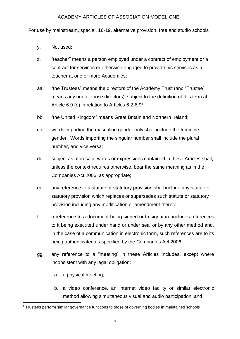For use by mainstream, special, 16-19, alternative provision, free and studio schools

- y. Not used;
- z. "teacher" means a person employed under a contract of employment or a contract for services or otherwise engaged to provide his services as a teacher at one or more Academies;
- aa. "the Trustees" means the directors of the Academy Trust (and "Trustee" means any one of those directors), subject to the definition of this term at Article 6.9 (e) in relation to Articles 6.2-6.9<sup>1</sup>;
- bb. "the United Kingdom" means Great Britain and Northern Ireland;
- cc. words importing the masculine gender only shall include the feminine gender. Words importing the singular number shall include the plural number, and vice versa;
- dd. subject as aforesaid, words or expressions contained in these Articles shall, unless the context requires otherwise, bear the same meaning as in the Companies Act 2006, as appropriate;
- ee. any reference to a statute or statutory provision shall include any statute or statutory provision which replaces or supersedes such statute or statutory provision including any modification or amendment thereto;
- ff. a reference to a document being signed or to signature includes references to it being executed under hand or under seal or by any other method and, in the case of a communication in electronic form, such references are to its being authenticated as specified by the Companies Act 2006;
- gg. any reference to a "meeting" in these Articles includes, except where inconsistent with any legal obligation:
	- a. a physical meeting;
	- b. a video conference, an internet video facility or similar electronic method allowing simultaneous visual and audio participation; and

<sup>-</sup><sup>1</sup> Trustees perform similar governance functions to those of governing bodies in maintained schools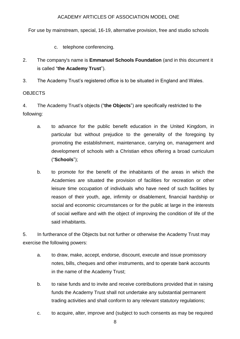For use by mainstream, special, 16-19, alternative provision, free and studio schools

c. telephone conferencing.

2. The company's name is **Emmanuel Schools Foundation** (and in this document it is called "**the Academy Trust**").

3. The Academy Trust's registered office is to be situated in England and Wales.

## **OBJECTS**

4. The Academy Trust's objects ("**the Objects**") are specifically restricted to the following:

- a. to advance for the public benefit education in the United Kingdom, in particular but without prejudice to the generality of the foregoing by promoting the establishment, maintenance, carrying on, management and development of schools with a Christian ethos offering a broad curriculum ("**Schools**");
- b. to promote for the benefit of the inhabitants of the areas in which the Academies are situated the provision of facilities for recreation or other leisure time occupation of individuals who have need of such facilities by reason of their youth, age, infirmity or disablement, financial hardship or social and economic circumstances or for the public at large in the interests of social welfare and with the object of improving the condition of life of the said inhabitants.

5. In furtherance of the Objects but not further or otherwise the Academy Trust may exercise the following powers:

- a. to draw, make, accept, endorse, discount, execute and issue promissory notes, bills, cheques and other instruments, and to operate bank accounts in the name of the Academy Trust;
- b. to raise funds and to invite and receive contributions provided that in raising funds the Academy Trust shall not undertake any substantial permanent trading activities and shall conform to any relevant statutory regulations;
- c. to acquire, alter, improve and (subject to such consents as may be required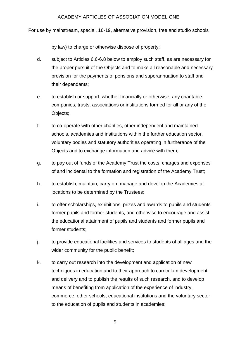For use by mainstream, special, 16-19, alternative provision, free and studio schools

by law) to charge or otherwise dispose of property;

- d. subject to Articles 6.6-6.8 below to employ such staff, as are necessary for the proper pursuit of the Objects and to make all reasonable and necessary provision for the payments of pensions and superannuation to staff and their dependants;
- e. to establish or support, whether financially or otherwise, any charitable companies, trusts, associations or institutions formed for all or any of the Objects;
- f. to co-operate with other charities, other independent and maintained schools, academies and institutions within the further education sector, voluntary bodies and statutory authorities operating in furtherance of the Objects and to exchange information and advice with them;
- g. to pay out of funds of the Academy Trust the costs, charges and expenses of and incidental to the formation and registration of the Academy Trust;
- h. to establish, maintain, carry on, manage and develop the Academies at locations to be determined by the Trustees;
- i. to offer scholarships, exhibitions, prizes and awards to pupils and students former pupils and former students, and otherwise to encourage and assist the educational attainment of pupils and students and former pupils and former students;
- j. to provide educational facilities and services to students of all ages and the wider community for the public benefit;
- k. to carry out research into the development and application of new techniques in education and to their approach to curriculum development and delivery and to publish the results of such research, and to develop means of benefiting from application of the experience of industry, commerce, other schools, educational institutions and the voluntary sector to the education of pupils and students in academies;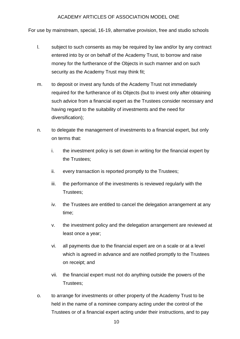For use by mainstream, special, 16-19, alternative provision, free and studio schools

- l. subject to such consents as may be required by law and/or by any contract entered into by or on behalf of the Academy Trust, to borrow and raise money for the furtherance of the Objects in such manner and on such security as the Academy Trust may think fit;
- m. to deposit or invest any funds of the Academy Trust not immediately required for the furtherance of its Objects (but to invest only after obtaining such advice from a financial expert as the Trustees consider necessary and having regard to the suitability of investments and the need for diversification);
- n. to delegate the management of investments to a financial expert, but only on terms that:
	- i. the investment policy is set down in writing for the financial expert by the Trustees;
	- ii. every transaction is reported promptly to the Trustees;
	- iii. the performance of the investments is reviewed regularly with the Trustees;
	- iv. the Trustees are entitled to cancel the delegation arrangement at any time;
	- v. the investment policy and the delegation arrangement are reviewed at least once a year;
	- vi. all payments due to the financial expert are on a scale or at a level which is agreed in advance and are notified promptly to the Trustees on receipt; and
	- vii. the financial expert must not do anything outside the powers of the Trustees;
- o. to arrange for investments or other property of the Academy Trust to be held in the name of a nominee company acting under the control of the Trustees or of a financial expert acting under their instructions, and to pay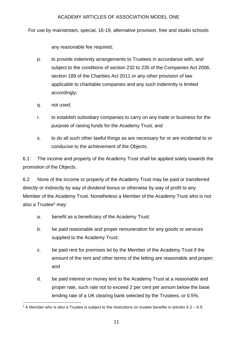For use by mainstream, special, 16-19, alternative provision, free and studio schools

any reasonable fee required;

- p. to provide indemnity arrangements to Trustees in accordance with, and subject to the conditions of section 232 to 235 of the Companies Act 2006, section 189 of the Charities Act 2011 or any other provision of law applicable to charitable companies and any such indemnity is limited accordingly;
- q. not used;
- r. to establish subsidiary companies to carry on any trade or business for the purpose of raising funds for the Academy Trust; and
- s. to do all such other lawful things as are necessary for or are incidental to or conducive to the achievement of the Objects.

6.1 The income and property of the Academy Trust shall be applied solely towards the promotion of the Objects.

6.2 None of the income or property of the Academy Trust may be paid or transferred directly or indirectly by way of dividend bonus or otherwise by way of profit to any Member of the Academy Trust. Nonetheless a Member of the Academy Trust who is not also a Trustee $2$  may:

- a. benefit as a beneficiary of the Academy Trust;
- b. be paid reasonable and proper remuneration for any goods or services supplied to the Academy Trust;
- c. be paid rent for premises let by the Member of the Academy Trust if the amount of the rent and other terms of the letting are reasonable and proper; and
- d. be paid interest on money lent to the Academy Trust at a reasonable and proper rate, such rate not to exceed 2 per cent per annum below the base lending rate of a UK clearing bank selected by the Trustees, or 0.5%,

<sup>-</sup> $2$  A Member who is also a Trustee is subject to the restrictions on trustee benefits in articles  $6.3 - 6.9$ .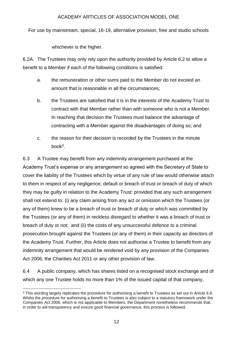For use by mainstream, special, 16-19, alternative provision, free and studio schools

whichever is the higher.

6.2A. The Trustees may only rely upon the authority provided by Article 6.2 to allow a benefit to a Member if each of the following conditions is satisfied:

- a. the remuneration or other sums paid to the Member do not exceed an amount that is reasonable in all the circumstances;
- b. the Trustees are satisfied that it is in the interests of the Academy Trust to contract with that Member rather than with someone who is not a Member. In reaching that decision the Trustees must balance the advantage of contracting with a Member against the disadvantages of doing so; and
- c. the reason for their decision is recorded by the Trustees in the minute book<sup>3</sup>.

6.3 A Trustee may benefit from any indemnity arrangement purchased at the Academy Trust's expense or any arrangement so agreed with the Secretary of State to cover the liability of the Trustees which by virtue of any rule of law would otherwise attach to them in respect of any negligence, default or breach of trust or breach of duty of which they may be guilty in relation to the Academy Trust: provided that any such arrangement shall not extend to: (i) any claim arising from any act or omission which the Trustees (or any of them) knew to be a breach of trust or breach of duty or which was committed by the Trustees (or any of them) in reckless disregard to whether it was a breach of trust or breach of duty or not; and (ii) the costs of any unsuccessful defence to a criminal prosecution brought against the Trustees (or any of them) in their capacity as directors of the Academy Trust. Further, this Article does not authorise a Trustee to benefit from any indemnity arrangement that would be rendered void by any provision of the Companies Act 2006, the Charities Act 2011 or any other provision of law.

6.4 A public company, which has shares listed on a recognised stock exchange and of which any one Trustee holds no more than 1% of the issued capital of that company,

<sup>-</sup><sup>3</sup> This wording largely replicates the procedure for authorising a benefit to Trustees as set out in Article 6.8. Whilst the procedure for authorising a benefit to Trustees is also subject to a statutory framework under the Companies Act 2006, which is not applicable to Members, the Department nonetheless recommends that, in order to aid transparency and ensure good financial governance, this process is followed.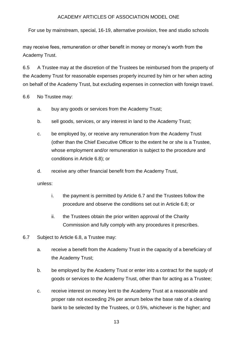For use by mainstream, special, 16-19, alternative provision, free and studio schools

may receive fees, remuneration or other benefit in money or money's worth from the Academy Trust.

6.5 A Trustee may at the discretion of the Trustees be reimbursed from the property of the Academy Trust for reasonable expenses properly incurred by him or her when acting on behalf of the Academy Trust, but excluding expenses in connection with foreign travel.

6.6 No Trustee may:

- a. buy any goods or services from the Academy Trust;
- b. sell goods, services, or any interest in land to the Academy Trust;
- c. be employed by, or receive any remuneration from the Academy Trust (other than the Chief Executive Officer to the extent he or she is a Trustee, whose employment and/or remuneration is subject to the procedure and conditions in Article 6.8); or
- d. receive any other financial benefit from the Academy Trust,

unless:

- i. the payment is permitted by Article 6.7 and the Trustees follow the procedure and observe the conditions set out in Article 6.8; or
- ii. the Trustees obtain the prior written approval of the Charity Commission and fully comply with any procedures it prescribes.
- 6.7 Subject to Article 6.8, a Trustee may:
	- a. receive a benefit from the Academy Trust in the capacity of a beneficiary of the Academy Trust;
	- b. be employed by the Academy Trust or enter into a contract for the supply of goods or services to the Academy Trust, other than for acting as a Trustee;
	- c. receive interest on money lent to the Academy Trust at a reasonable and proper rate not exceeding 2% per annum below the base rate of a clearing bank to be selected by the Trustees, or 0.5%, whichever is the higher; and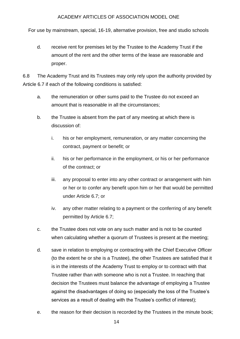For use by mainstream, special, 16-19, alternative provision, free and studio schools

d. receive rent for premises let by the Trustee to the Academy Trust if the amount of the rent and the other terms of the lease are reasonable and proper.

6.8 The Academy Trust and its Trustees may only rely upon the authority provided by Article 6.7 if each of the following conditions is satisfied:

- a. the remuneration or other sums paid to the Trustee do not exceed an amount that is reasonable in all the circumstances;
- b. the Trustee is absent from the part of any meeting at which there is discussion of:
	- i. his or her employment, remuneration, or any matter concerning the contract, payment or benefit; or
	- ii. his or her performance in the employment, or his or her performance of the contract; or
	- iii. any proposal to enter into any other contract or arrangement with him or her or to confer any benefit upon him or her that would be permitted under Article 6.7; or
	- iv. any other matter relating to a payment or the conferring of any benefit permitted by Article 6.7;
- c. the Trustee does not vote on any such matter and is not to be counted when calculating whether a quorum of Trustees is present at the meeting;
- d. save in relation to employing or contracting with the Chief Executive Officer (to the extent he or she is a Trustee), the other Trustees are satisfied that it is in the interests of the Academy Trust to employ or to contract with that Trustee rather than with someone who is not a Trustee. In reaching that decision the Trustees must balance the advantage of employing a Trustee against the disadvantages of doing so (especially the loss of the Trustee's services as a result of dealing with the Trustee's conflict of interest);
- e. the reason for their decision is recorded by the Trustees in the minute book;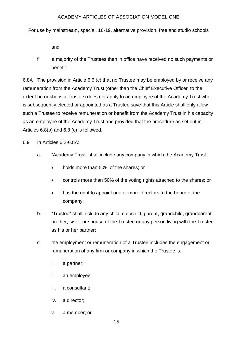For use by mainstream, special, 16-19, alternative provision, free and studio schools

and

f. a majority of the Trustees then in office have received no such payments or benefit.

6.8A The provision in Article 6.6 (c) that no Trustee may be employed by or receive any remuneration from the Academy Trust (other than the Chief Executive Officer to the extent he or she is a Trustee) does not apply to an employee of the Academy Trust who is subsequently elected or appointed as a Trustee save that this Article shall only allow such a Trustee to receive remuneration or benefit from the Academy Trust in his capacity as an employee of the Academy Trust and provided that the procedure as set out in Articles 6.8(b) and 6.8 (c) is followed.

6.9 In Articles 6.2-6.8A:

- a. "Academy Trust" shall include any company in which the Academy Trust:
	- holds more than 50% of the shares; or
	- controls more than 50% of the voting rights attached to the shares; or
	- has the right to appoint one or more directors to the board of the company;
- b. "Trustee" shall include any child, stepchild, parent, grandchild, grandparent, brother, sister or spouse of the Trustee or any person living with the Trustee as his or her partner;
- c. the employment or remuneration of a Trustee includes the engagement or remuneration of any firm or company in which the Trustee is:
	- i. a partner;
	- ii. an employee;
	- iii. a consultant;
	- iv. a director;
	- v. a member; or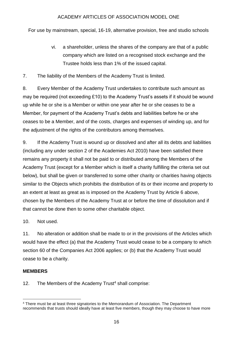For use by mainstream, special, 16-19, alternative provision, free and studio schools

- vi. a shareholder, unless the shares of the company are that of a public company which are listed on a recognised stock exchange and the Trustee holds less than 1% of the issued capital.
- 7. The liability of the Members of the Academy Trust is limited.

8. Every Member of the Academy Trust undertakes to contribute such amount as may be required (not exceeding £10) to the Academy Trust's assets if it should be wound up while he or she is a Member or within one year after he or she ceases to be a Member, for payment of the Academy Trust's debts and liabilities before he or she ceases to be a Member, and of the costs, charges and expenses of winding up, and for the adjustment of the rights of the contributors among themselves.

9. If the Academy Trust is wound up or dissolved and after all its debts and liabilities (including any under section 2 of the Academies Act 2010) have been satisfied there remains any property it shall not be paid to or distributed among the Members of the Academy Trust (except for a Member which is itself a charity fulfilling the criteria set out below), but shall be given or transferred to some other charity or charities having objects similar to the Objects which prohibits the distribution of its or their income and property to an extent at least as great as is imposed on the Academy Trust by Article 6 above, chosen by the Members of the Academy Trust at or before the time of dissolution and if that cannot be done then to some other charitable object.

10. Not used.

11. No alteration or addition shall be made to or in the provisions of the Articles which would have the effect (a) that the Academy Trust would cease to be a company to which section 60 of the Companies Act 2006 applies; or (b) that the Academy Trust would cease to be a charity.

## **MEMBERS**

12. The Members of the Academy Trust<sup>4</sup> shall comprise:

<sup>-</sup><sup>4</sup> There must be at least three signatories to the Memorandum of Association. The Department recommends that trusts should ideally have at least five members, though they may choose to have more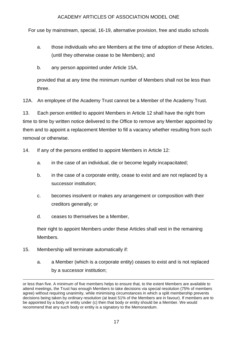For use by mainstream, special, 16-19, alternative provision, free and studio schools

- a. those individuals who are Members at the time of adoption of these Articles, (until they otherwise cease to be Members); and
- b. any person appointed under Article 15A,

provided that at any time the minimum number of Members shall not be less than three.

12A. An employee of the Academy Trust cannot be a Member of the Academy Trust.

13. Each person entitled to appoint Members in Article 12 shall have the right from time to time by written notice delivered to the Office to remove any Member appointed by them and to appoint a replacement Member to fill a vacancy whether resulting from such removal or otherwise.

14. If any of the persons entitled to appoint Members in Article 12:

- a. in the case of an individual, die or become legally incapacitated;
- b. in the case of a corporate entity, cease to exist and are not replaced by a successor institution;
- c. becomes insolvent or makes any arrangement or composition with their creditors generally; or
- d. ceases to themselves be a Member,

their right to appoint Members under these Articles shall vest in the remaining Members.

- 15. Membership will terminate automatically if:
	- a. a Member (which is a corporate entity) ceases to exist and is not replaced by a successor institution;

or less than five. A minimum of five members helps to ensure that, to the extent Members are available to attend meetings, the Trust has enough Members to take decisions via special resolution (75% of members agree) without requiring unanimity, while minimising circumstances in which a split membership prevents decisions being taken by ordinary resolution (at least 51% of the Members are in favour). If members are to be appointed by a body or entity under (c) then that body or entity should be a Member. We would recommend that any such body or entity is a signatory to the Memorandum.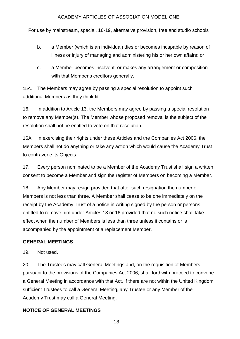For use by mainstream, special, 16-19, alternative provision, free and studio schools

- b. a Member (which is an individual) dies or becomes incapable by reason of illness or injury of managing and administering his or her own affairs; or
- c. a Member becomes insolvent or makes any arrangement or composition with that Member's creditors generally.

15A. The Members may agree by passing a special resolution to appoint such additional Members as they think fit.

16. In addition to Article 13, the Members may agree by passing a special resolution to remove any Member(s). The Member whose proposed removal is the subject of the resolution shall not be entitled to vote on that resolution.

16A. In exercising their rights under these Articles and the Companies Act 2006, the Members shall not do anything or take any action which would cause the Academy Trust to contravene its Objects.

17. Every person nominated to be a Member of the Academy Trust shall sign a written consent to become a Member and sign the register of Members on becoming a Member.

18. Any Member may resign provided that after such resignation the number of Members is not less than three. A Member shall cease to be one immediately on the receipt by the Academy Trust of a notice in writing signed by the person or persons entitled to remove him under Articles 13 or 16 provided that no such notice shall take effect when the number of Members is less than three unless it contains or is accompanied by the appointment of a replacement Member.

## <span id="page-17-0"></span>**GENERAL MEETINGS**

19. Not used.

20. The Trustees may call General Meetings and, on the requisition of Members pursuant to the provisions of the Companies Act 2006, shall forthwith proceed to convene a General Meeting in accordance with that Act. If there are not within the United Kingdom sufficient Trustees to call a General Meeting, any Trustee or any Member of the Academy Trust may call a General Meeting.

## <span id="page-17-1"></span>**NOTICE OF GENERAL MEETINGS**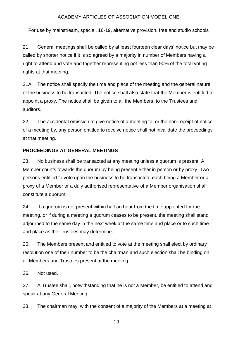For use by mainstream, special, 16-19, alternative provision, free and studio schools

21. General meetings shall be called by at least fourteen clear days' notice but may be called by shorter notice if it is so agreed by a majority in number of Members having a right to attend and vote and together representing not less than 90% of the total voting rights at that meeting.

21A. The notice shall specify the time and place of the meeting and the general nature of the business to be transacted. The notice shall also state that the Member is entitled to appoint a proxy. The notice shall be given to all the Members, to the Trustees and auditors.

22. The accidental omission to give notice of a meeting to, or the non-receipt of notice of a meeting by, any person entitled to receive notice shall not invalidate the proceedings at that meeting.

## <span id="page-18-0"></span>**PROCEEDINGS AT GENERAL MEETINGS**

23. No business shall be transacted at any meeting unless a quorum is present. A Member counts towards the quorum by being present either in person or by proxy. Two persons entitled to vote upon the business to be transacted, each being a Member or a proxy of a Member or a duly authorised representative of a Member organisation shall constitute a quorum.

24. If a quorum is not present within half an hour from the time appointed for the meeting, or if during a meeting a quorum ceases to be present, the meeting shall stand adjourned to the same day in the next week at the same time and place or to such time and place as the Trustees may determine.

25. The Members present and entitled to vote at the meeting shall elect by ordinary resolution one of their number to be the chairman and such election shall be binding on all Members and Trustees present at the meeting.

26. Not used.

27. A Trustee shall, notwithstanding that he is not a Member, be entitled to attend and speak at any General Meeting.

28. The chairman may, with the consent of a majority of the Members at a meeting at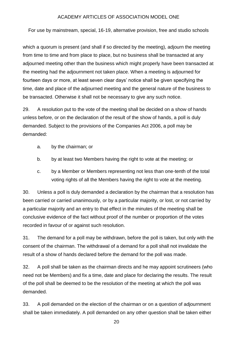For use by mainstream, special, 16-19, alternative provision, free and studio schools

which a quorum is present (and shall if so directed by the meeting), adjourn the meeting from time to time and from place to place, but no business shall be transacted at any adjourned meeting other than the business which might properly have been transacted at the meeting had the adjournment not taken place. When a meeting is adjourned for fourteen days or more, at least seven clear days' notice shall be given specifying the time, date and place of the adjourned meeting and the general nature of the business to be transacted. Otherwise it shall not be necessary to give any such notice.

29. A resolution put to the vote of the meeting shall be decided on a show of hands unless before, or on the declaration of the result of the show of hands, a poll is duly demanded. Subject to the provisions of the Companies Act 2006, a poll may be demanded:

- a. by the chairman; or
- b. by at least two Members having the right to vote at the meeting; or
- c. by a Member or Members representing not less than one-tenth of the total voting rights of all the Members having the right to vote at the meeting.

30. Unless a poll is duly demanded a declaration by the chairman that a resolution has been carried or carried unanimously, or by a particular majority, or lost, or not carried by a particular majority and an entry to that effect in the minutes of the meeting shall be conclusive evidence of the fact without proof of the number or proportion of the votes recorded in favour of or against such resolution.

31. The demand for a poll may be withdrawn, before the poll is taken, but only with the consent of the chairman. The withdrawal of a demand for a poll shall not invalidate the result of a show of hands declared before the demand for the poll was made.

32. A poll shall be taken as the chairman directs and he may appoint scrutineers (who need not be Members) and fix a time, date and place for declaring the results. The result of the poll shall be deemed to be the resolution of the meeting at which the poll was demanded.

33. A poll demanded on the election of the chairman or on a question of adjournment shall be taken immediately. A poll demanded on any other question shall be taken either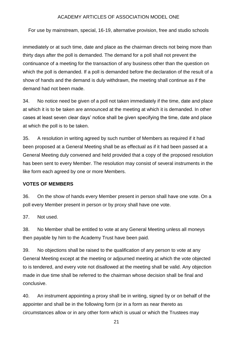For use by mainstream, special, 16-19, alternative provision, free and studio schools

immediately or at such time, date and place as the chairman directs not being more than thirty days after the poll is demanded. The demand for a poll shall not prevent the continuance of a meeting for the transaction of any business other than the question on which the poll is demanded. If a poll is demanded before the declaration of the result of a show of hands and the demand is duly withdrawn, the meeting shall continue as if the demand had not been made.

34. No notice need be given of a poll not taken immediately if the time, date and place at which it is to be taken are announced at the meeting at which it is demanded. In other cases at least seven clear days' notice shall be given specifying the time, date and place at which the poll is to be taken.

35. A resolution in writing agreed by such number of Members as required if it had been proposed at a General Meeting shall be as effectual as if it had been passed at a General Meeting duly convened and held provided that a copy of the proposed resolution has been sent to every Member. The resolution may consist of several instruments in the like form each agreed by one or more Members.

## **VOTES OF MEMBERS**

36. On the show of hands every Member present in person shall have one vote. On a poll every Member present in person or by proxy shall have one vote.

37. Not used.

38. No Member shall be entitled to vote at any General Meeting unless all moneys then payable by him to the Academy Trust have been paid.

39. No objections shall be raised to the qualification of any person to vote at any General Meeting except at the meeting or adjourned meeting at which the vote objected to is tendered, and every vote not disallowed at the meeting shall be valid. Any objection made in due time shall be referred to the chairman whose decision shall be final and conclusive.

40. An instrument appointing a proxy shall be in writing, signed by or on behalf of the appointer and shall be in the following form (or in a form as near thereto as circumstances allow or in any other form which is usual or which the Trustees may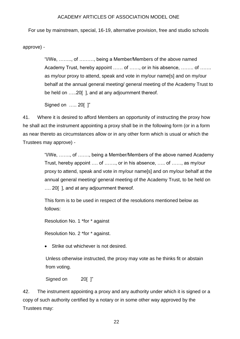For use by mainstream, special, 16-19, alternative provision, free and studio schools

approve) -

"I/We, …….., of ………, being a Member/Members of the above named Academy Trust, hereby appoint …… of ……, or in his absence, …….. of ……. as my/our proxy to attend, speak and vote in my/our name[s] and on my/our behalf at the annual general meeting/ general meeting of the Academy Trust to be held on .....20[], and at any adjournment thereof.

Signed on ..... 20[ 1"

41. Where it is desired to afford Members an opportunity of instructing the proxy how he shall act the instrument appointing a proxy shall be in the following form (or in a form as near thereto as circumstances allow or in any other form which is usual or which the Trustees may approve) -

> "I/We, ……., of ……., being a Member/Members of the above named Academy Trust, hereby appoint …. of ……., or in his absence, ….. of ……, as my/our proxy to attend, speak and vote in my/our name[s] and on my/our behalf at the annual general meeting/ general meeting of the Academy Trust, to be held on .... 20 [], and at any adjournment thereof.

This form is to be used in respect of the resolutions mentioned below as follows:

Resolution No. 1 \*for \* against

Resolution No. 2 \*for \* against.

• Strike out whichever is not desired.

Unless otherwise instructed, the proxy may vote as he thinks fit or abstain from voting.

Signed on 20[ ]"

42. The instrument appointing a proxy and any authority under which it is signed or a copy of such authority certified by a notary or in some other way approved by the Trustees may: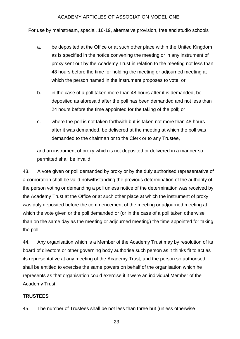For use by mainstream, special, 16-19, alternative provision, free and studio schools

- a. be deposited at the Office or at such other place within the United Kingdom as is specified in the notice convening the meeting or in any instrument of proxy sent out by the Academy Trust in relation to the meeting not less than 48 hours before the time for holding the meeting or adjourned meeting at which the person named in the instrument proposes to vote; or
- b. in the case of a poll taken more than 48 hours after it is demanded, be deposited as aforesaid after the poll has been demanded and not less than 24 hours before the time appointed for the taking of the poll; or
- c. where the poll is not taken forthwith but is taken not more than 48 hours after it was demanded, be delivered at the meeting at which the poll was demanded to the chairman or to the Clerk or to any Trustee,

and an instrument of proxy which is not deposited or delivered in a manner so permitted shall be invalid.

43. A vote given or poll demanded by proxy or by the duly authorised representative of a corporation shall be valid notwithstanding the previous determination of the authority of the person voting or demanding a poll unless notice of the determination was received by the Academy Trust at the Office or at such other place at which the instrument of proxy was duly deposited before the commencement of the meeting or adjourned meeting at which the vote given or the poll demanded or (or in the case of a poll taken otherwise than on the same day as the meeting or adjourned meeting) the time appointed for taking the poll.

44. Any organisation which is a Member of the Academy Trust may by resolution of its board of directors or other governing body authorise such person as it thinks fit to act as its representative at any meeting of the Academy Trust, and the person so authorised shall be entitled to exercise the same powers on behalf of the organisation which he represents as that organisation could exercise if it were an individual Member of the Academy Trust.

#### **TRUSTEES**

45. The number of Trustees shall be not less than three but (unless otherwise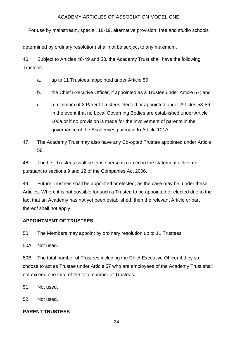For use by mainstream, special, 16-19, alternative provision, free and studio schools

determined by ordinary resolution) shall not be subject to any maximum.

46. Subject to Articles 48-49 and 53, the Academy Trust shall have the following Trustees:

- a. up to 11 Trustees, appointed under Article 50;
- b. the Chief Executive Officer, if appointed as a Trustee under Article 57; and
- c. a minimum of 2 Parent Trustees elected or appointed under Articles 53-56 in the event that no Local Governing Bodies are established under Article 100a or if no provision is made for the involvement of parents in the governance of the Academies pursuant to Article 101A.
- 47. The Academy Trust may also have any Co-opted Trustee appointed under Article 58.

48. The first Trustees shall be those persons named in the statement delivered pursuant to sections 9 and 12 of the Companies Act 2006.

49. Future Trustees shall be appointed or elected, as the case may be, under these Articles. Where it is not possible for such a Trustee to be appointed or elected due to the fact that an Academy has not yet been established, then the relevant Article or part thereof shall not apply.

## **APPOINTMENT OF TRUSTEES**

50. The Members may appoint by ordinary resolution up to 11 Trustees.

50A. Not used.

50B. The total number of Trustees including the Chief Executive Officer if they so choose to act as Trustee under Article 57 who are employees of the Academy Trust shall not exceed one third of the total number of Trustees.

51. Not used.

52. Not used.

# <span id="page-23-0"></span>**PARENT TRUSTEES**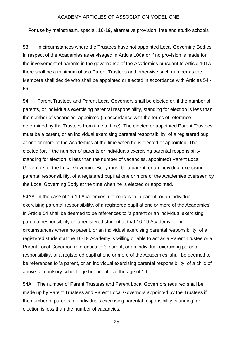For use by mainstream, special, 16-19, alternative provision, free and studio schools

53. In circumstances where the Trustees have not appointed Local Governing Bodies in respect of the Academies as envisaged in Article 100a or if no provision is made for the involvement of parents in the governance of the Academies pursuant to Article 101A there shall be a minimum of two Parent Trustees and otherwise such number as the Members shall decide who shall be appointed or elected in accordance with Articles 54 - 56.

54. Parent Trustees and Parent Local Governors shall be elected or, if the number of parents, or individuals exercising parental responsibility, standing for election is less than the number of vacancies, appointed (in accordance with the terms of reference determined by the Trustees from time to time). The elected or appointed Parent Trustees must be a parent, or an individual exercising parental responsibility, of a registered pupil at one or more of the Academies at the time when he is elected or appointed. The elected (or, if the number of parents or individuals exercising parental responsibility standing for election is less than the number of vacancies, appointed) Parent Local Governors of the Local Governing Body must be a parent, or an individual exercising parental responsibility, of a registered pupil at one or more of the Academies overseen by the Local Governing Body at the time when he is elected or appointed.

54AA In the case of 16-19 Academies, references to 'a parent, or an individual exercising parental responsibility, of a registered pupil at one or more of the Academies' in Article 54 shall be deemed to be references to 'a parent or an individual exercising parental responsibility of, a registered student at that 16-19 Academy' or, in circumstances where no parent, or an individual exercising parental responsibility, of a registered student at the 16-19 Academy is willing or able to act as a Parent Trustee or a Parent Local Governor, references to 'a parent, or an individual exercising parental responsibility, of a registered pupil at one or more of the Academies' shall be deemed to be references to 'a parent, or an individual exercising parental responsibility, of a child of above compulsory school age but not above the age of 19.

54A. The number of Parent Trustees and Parent Local Governors required shall be made up by Parent Trustees and Parent Local Governors appointed by the Trustees if the number of parents, or individuals exercising parental responsibility, standing for election is less than the number of vacancies.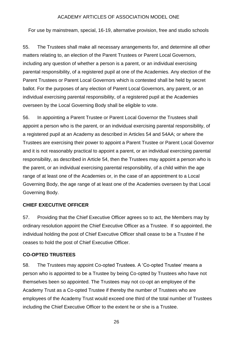For use by mainstream, special, 16-19, alternative provision, free and studio schools

55. The Trustees shall make all necessary arrangements for, and determine all other matters relating to, an election of the Parent Trustees or Parent Local Governors, including any question of whether a person is a parent, or an individual exercising parental responsibility, of a registered pupil at one of the Academies. Any election of the Parent Trustees or Parent Local Governors which is contested shall be held by secret ballot. For the purposes of any election of Parent Local Governors, any parent, or an individual exercising parental responsibility, of a registered pupil at the Academies overseen by the Local Governing Body shall be eligible to vote.

56. In appointing a Parent Trustee or Parent Local Governor the Trustees shall appoint a person who is the parent, or an individual exercising parental responsibility, of a registered pupil at an Academy as described in Articles 54 and 54AA; or where the Trustees are exercising their power to appoint a Parent Trustee or Parent Local Governor and it is not reasonably practical to appoint a parent, or an individual exercising parental responsibility, as described in Article 54, then the Trustees may appoint a person who is the parent, or an individual exercising parental responsibility, of a child within the age range of at least one of the Academies or, in the case of an appointment to a Local Governing Body, the age range of at least one of the Academies overseen by that Local Governing Body.

#### **CHIEF EXECUTIVE OFFICER**

57. Providing that the Chief Executive Officer agrees so to act, the Members may by ordinary resolution appoint the Chief Executive Officer as a Trustee. If so appointed, the individual holding the post of Chief Executive Officer shall cease to be a Trustee if he ceases to hold the post of Chief Executive Officer.

#### <span id="page-25-0"></span>**CO-OPTED TRUSTEES**

58. The Trustees may appoint Co-opted Trustees. A 'Co-opted Trustee' means a person who is appointed to be a Trustee by being Co-opted by Trustees who have not themselves been so appointed. The Trustees may not co-opt an employee of the Academy Trust as a Co-opted Trustee if thereby the number of Trustees who are employees of the Academy Trust would exceed one third of the total number of Trustees including the Chief Executive Officer to the extent he or she is a Trustee.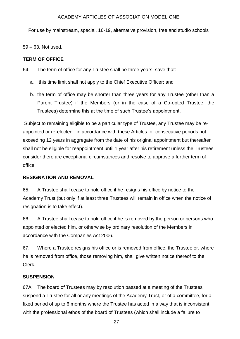For use by mainstream, special, 16-19, alternative provision, free and studio schools

59 – 63. Not used.

#### <span id="page-26-0"></span>**TERM OF OFFICE**

64. The term of office for any Trustee shall be three years, save that:

- a. this time limit shall not apply to the Chief Executive Officer; and
- b. the term of office may be shorter than three years for any Trustee (other than a Parent Trustee) if the Members (or in the case of a Co-opted Trustee, the Trustees) determine this at the time of such Trustee's appointment.

Subject to remaining eligible to be a particular type of Trustee, any Trustee may be reappointed or re-elected in accordance with these Articles for consecutive periods not exceeding 12 years in aggregate from the date of his original appointment but thereafter shall not be eligible for reappointment until 1 year after his retirement unless the Trustees consider there are exceptional circumstances and resolve to approve a further term of office.

## **RESIGNATION AND REMOVAL**

65. A Trustee shall cease to hold office if he resigns his office by notice to the Academy Trust (but only if at least three Trustees will remain in office when the notice of resignation is to take effect).

66. A Trustee shall cease to hold office if he is removed by the person or persons who appointed or elected him, or otherwise by ordinary resolution of the Members in accordance with the Companies Act 2006.

67. Where a Trustee resigns his office or is removed from office, the Trustee or, where he is removed from office, those removing him, shall give written notice thereof to the Clerk.

## <span id="page-26-1"></span>**SUSPENSION**

67A. The board of Trustees may by resolution passed at a meeting of the Trustees suspend a Trustee for all or any meetings of the Academy Trust, or of a committee, for a fixed period of up to 6 months where the Trustee has acted in a way that is inconsistent with the professional ethos of the board of Trustees (which shall include a failure to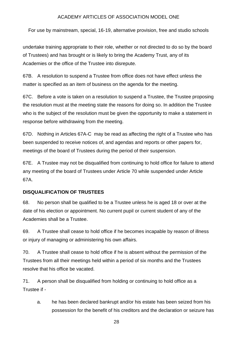For use by mainstream, special, 16-19, alternative provision, free and studio schools

undertake training appropriate to their role, whether or not directed to do so by the board of Trustees) and has brought or is likely to bring the Academy Trust, any of its Academies or the office of the Trustee into disrepute.

67B. A resolution to suspend a Trustee from office does not have effect unless the matter is specified as an item of business on the agenda for the meeting.

67C. Before a vote is taken on a resolution to suspend a Trustee, the Trustee proposing the resolution must at the meeting state the reasons for doing so. In addition the Trustee who is the subject of the resolution must be given the opportunity to make a statement in response before withdrawing from the meeting.

67D. Nothing in Articles 67A-C may be read as affecting the right of a Trustee who has been suspended to receive notices of, and agendas and reports or other papers for, meetings of the board of Trustees during the period of their suspension.

67E. A Trustee may not be disqualified from continuing to hold office for failure to attend any meeting of the board of Trustees under Article 70 while suspended under Article 67A.

## <span id="page-27-0"></span>**DISQUALIFICATION OF TRUSTEES**

68. No person shall be qualified to be a Trustee unless he is aged 18 or over at the date of his election or appointment. No current pupil or current student of any of the Academies shall be a Trustee.

69. A Trustee shall cease to hold office if he becomes incapable by reason of illness or injury of managing or administering his own affairs.

70. A Trustee shall cease to hold office if he is absent without the permission of the Trustees from all their meetings held within a period of six months and the Trustees resolve that his office be vacated.

71. A person shall be disqualified from holding or continuing to hold office as a Trustee if -

a. he has been declared bankrupt and/or his estate has been seized from his possession for the benefit of his creditors and the declaration or seizure has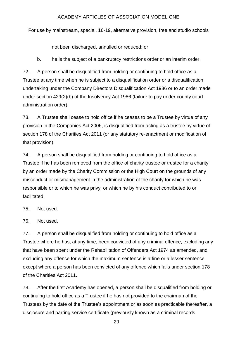For use by mainstream, special, 16-19, alternative provision, free and studio schools

not been discharged, annulled or reduced; or

b. he is the subject of a bankruptcy restrictions order or an interim order.

72. A person shall be disqualified from holding or continuing to hold office as a Trustee at any time when he is subject to a disqualification order or a disqualification undertaking under the Company Directors Disqualification Act 1986 or to an order made under section 429(2)(b) of the Insolvency Act 1986 (failure to pay under county court administration order).

73. A Trustee shall cease to hold office if he ceases to be a Trustee by virtue of any provision in the Companies Act 2006, is disqualified from acting as a trustee by virtue of section 178 of the Charities Act 2011 (or any statutory re-enactment or modification of that provision).

74. A person shall be disqualified from holding or continuing to hold office as a Trustee if he has been removed from the office of charity trustee or trustee for a charity by an order made by the Charity Commission or the High Court on the grounds of any misconduct or mismanagement in the administration of the charity for which he was responsible or to which he was privy, or which he by his conduct contributed to or facilitated.

75. Not used.

76. Not used.

77. A person shall be disqualified from holding or continuing to hold office as a Trustee where he has, at any time, been convicted of any criminal offence, excluding any that have been spent under the Rehabilitation of Offenders Act 1974 as amended, and excluding any offence for which the maximum sentence is a fine or a lesser sentence except where a person has been convicted of any offence which falls under section 178 of the Charities Act 2011.

78. After the first Academy has opened, a person shall be disqualified from holding or continuing to hold office as a Trustee if he has not provided to the chairman of the Trustees by the date of the Trustee's appointment or as soon as practicable thereafter, a disclosure and barring service certificate (previously known as a criminal records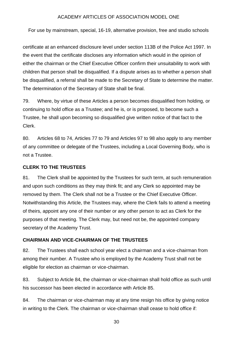For use by mainstream, special, 16-19, alternative provision, free and studio schools

certificate at an enhanced disclosure level under section 113B of the Police Act 1997. In the event that the certificate discloses any information which would in the opinion of either the chairman or the Chief Executive Officer confirm their unsuitability to work with children that person shall be disqualified. If a dispute arises as to whether a person shall be disqualified, a referral shall be made to the Secretary of State to determine the matter. The determination of the Secretary of State shall be final.

79. Where, by virtue of these Articles a person becomes disqualified from holding, or continuing to hold office as a Trustee; and he is, or is proposed, to become such a Trustee, he shall upon becoming so disqualified give written notice of that fact to the Clerk.

80. Articles 68 to 74, Articles 77 to 79 and Articles 97 to 98 also apply to any member of any committee or delegate of the Trustees, including a Local Governing Body, who is not a Trustee.

#### <span id="page-29-0"></span>**CLERK TO THE TRUSTEES**

81. The Clerk shall be appointed by the Trustees for such term, at such remuneration and upon such conditions as they may think fit; and any Clerk so appointed may be removed by them. The Clerk shall not be a Trustee or the Chief Executive Officer. Notwithstanding this Article, the Trustees may, where the Clerk fails to attend a meeting of theirs, appoint any one of their number or any other person to act as Clerk for the purposes of that meeting. The Clerk may, but need not be, the appointed company secretary of the Academy Trust.

#### <span id="page-29-1"></span>**CHAIRMAN AND VICE-CHAIRMAN OF THE TRUSTEES**

82. The Trustees shall each school year elect a chairman and a vice-chairman from among their number. A Trustee who is employed by the Academy Trust shall not be eligible for election as chairman or vice-chairman.

83. Subject to Article 84, the chairman or vice-chairman shall hold office as such until his successor has been elected in accordance with Article 85.

84. The chairman or vice-chairman may at any time resign his office by giving notice in writing to the Clerk. The chairman or vice-chairman shall cease to hold office if: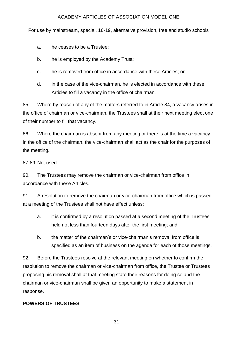For use by mainstream, special, 16-19, alternative provision, free and studio schools

a. he ceases to be a Trustee;

- b. he is employed by the Academy Trust;
- c. he is removed from office in accordance with these Articles; or
- d. in the case of the vice-chairman, he is elected in accordance with these Articles to fill a vacancy in the office of chairman.

85. Where by reason of any of the matters referred to in Article 84, a vacancy arises in the office of chairman or vice-chairman, the Trustees shall at their next meeting elect one of their number to fill that vacancy.

86. Where the chairman is absent from any meeting or there is at the time a vacancy in the office of the chairman, the vice-chairman shall act as the chair for the purposes of the meeting.

87-89. Not used.

90. The Trustees may remove the chairman or vice-chairman from office in accordance with these Articles.

91. A resolution to remove the chairman or vice-chairman from office which is passed at a meeting of the Trustees shall not have effect unless:

- a. it is confirmed by a resolution passed at a second meeting of the Trustees held not less than fourteen days after the first meeting; and
- b. the matter of the chairman's or vice-chairman's removal from office is specified as an item of business on the agenda for each of those meetings.

92. Before the Trustees resolve at the relevant meeting on whether to confirm the resolution to remove the chairman or vice-chairman from office, the Trustee or Trustees proposing his removal shall at that meeting state their reasons for doing so and the chairman or vice-chairman shall be given an opportunity to make a statement in response.

# <span id="page-30-0"></span>**POWERS OF TRUSTEES**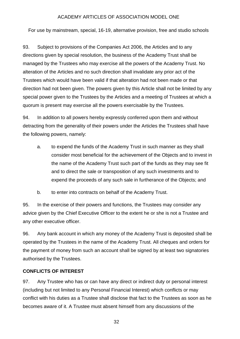For use by mainstream, special, 16-19, alternative provision, free and studio schools

93. Subject to provisions of the Companies Act 2006, the Articles and to any directions given by special resolution, the business of the Academy Trust shall be managed by the Trustees who may exercise all the powers of the Academy Trust. No alteration of the Articles and no such direction shall invalidate any prior act of the Trustees which would have been valid if that alteration had not been made or that direction had not been given. The powers given by this Article shall not be limited by any special power given to the Trustees by the Articles and a meeting of Trustees at which a quorum is present may exercise all the powers exercisable by the Trustees.

94. In addition to all powers hereby expressly conferred upon them and without detracting from the generality of their powers under the Articles the Trustees shall have the following powers, namely:

- a. to expend the funds of the Academy Trust in such manner as they shall consider most beneficial for the achievement of the Objects and to invest in the name of the Academy Trust such part of the funds as they may see fit and to direct the sale or transposition of any such investments and to expend the proceeds of any such sale in furtherance of the Objects; and
- b. to enter into contracts on behalf of the Academy Trust.

95. In the exercise of their powers and functions, the Trustees may consider any advice given by the Chief Executive Officer to the extent he or she is not a Trustee and any other executive officer.

96. Any bank account in which any money of the Academy Trust is deposited shall be operated by the Trustees in the name of the Academy Trust. All cheques and orders for the payment of money from such an account shall be signed by at least two signatories authorised by the Trustees.

#### <span id="page-31-0"></span>**CONFLICTS OF INTEREST**

97. Any Trustee who has or can have any direct or indirect duty or personal interest (including but not limited to any Personal Financial Interest) which conflicts or may conflict with his duties as a Trustee shall disclose that fact to the Trustees as soon as he becomes aware of it. A Trustee must absent himself from any discussions of the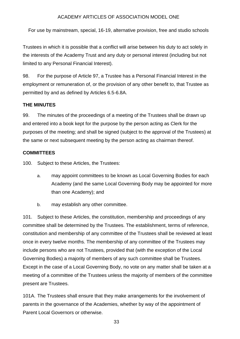For use by mainstream, special, 16-19, alternative provision, free and studio schools

Trustees in which it is possible that a conflict will arise between his duty to act solely in the interests of the Academy Trust and any duty or personal interest (including but not limited to any Personal Financial Interest).

98. For the purpose of Article 97, a Trustee has a Personal Financial Interest in the employment or remuneration of, or the provision of any other benefit to, that Trustee as permitted by and as defined by Articles 6.5-6.8A.

#### <span id="page-32-0"></span>**THE MINUTES**

99. The minutes of the proceedings of a meeting of the Trustees shall be drawn up and entered into a book kept for the purpose by the person acting as Clerk for the purposes of the meeting; and shall be signed (subject to the approval of the Trustees) at the same or next subsequent meeting by the person acting as chairman thereof.

#### <span id="page-32-1"></span>**COMMITTEES**

100. Subject to these Articles, the Trustees:

- a. may appoint committees to be known as Local Governing Bodies for each Academy (and the same Local Governing Body may be appointed for more than one Academy); and
- b. may establish any other committee.

101. Subject to these Articles, the constitution, membership and proceedings of any committee shall be determined by the Trustees. The establishment, terms of reference, constitution and membership of any committee of the Trustees shall be reviewed at least once in every twelve months. The membership of any committee of the Trustees may include persons who are not Trustees, provided that (with the exception of the Local Governing Bodies) a majority of members of any such committee shall be Trustees. Except in the case of a Local Governing Body, no vote on any matter shall be taken at a meeting of a committee of the Trustees unless the majority of members of the committee present are Trustees.

101A. The Trustees shall ensure that they make arrangements for the involvement of parents in the governance of the Academies, whether by way of the appointment of Parent Local Governors or otherwise.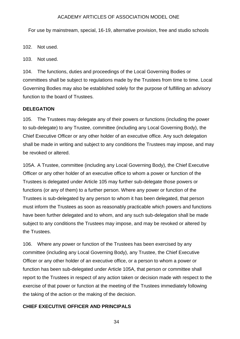For use by mainstream, special, 16-19, alternative provision, free and studio schools

102. Not used.

103. Not used.

104. The functions, duties and proceedings of the Local Governing Bodies or committees shall be subject to regulations made by the Trustees from time to time. Local Governing Bodies may also be established solely for the purpose of fulfilling an advisory function to the board of Trustees.

#### <span id="page-33-0"></span>**DELEGATION**

105. The Trustees may delegate any of their powers or functions (including the power to sub-delegate) to any Trustee, committee (including any Local Governing Body), the Chief Executive Officer or any other holder of an executive office. Any such delegation shall be made in writing and subject to any conditions the Trustees may impose, and may be revoked or altered.

105A. A Trustee, committee (including any Local Governing Body), the Chief Executive Officer or any other holder of an executive office to whom a power or function of the Trustees is delegated under Article 105 may further sub-delegate those powers or functions (or any of them) to a further person. Where any power or function of the Trustees is sub-delegated by any person to whom it has been delegated, that person must inform the Trustees as soon as reasonably practicable which powers and functions have been further delegated and to whom, and any such sub-delegation shall be made subject to any conditions the Trustees may impose, and may be revoked or altered by the Trustees.

106. Where any power or function of the Trustees has been exercised by any committee (including any Local Governing Body), any Trustee, the Chief Executive Officer or any other holder of an executive office, or a person to whom a power or function has been sub-delegated under Article 105A, that person or committee shall report to the Trustees in respect of any action taken or decision made with respect to the exercise of that power or function at the meeting of the Trustees immediately following the taking of the action or the making of the decision.

## <span id="page-33-1"></span>**CHIEF EXECUTIVE OFFICER AND PRINCIPALS**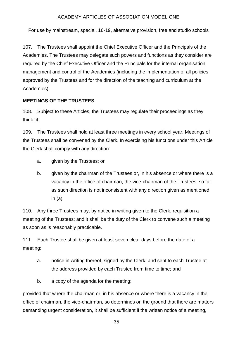For use by mainstream, special, 16-19, alternative provision, free and studio schools

107. The Trustees shall appoint the Chief Executive Officer and the Principals of the Academies. The Trustees may delegate such powers and functions as they consider are required by the Chief Executive Officer and the Principals for the internal organisation, management and control of the Academies (including the implementation of all policies approved by the Trustees and for the direction of the teaching and curriculum at the Academies).

## <span id="page-34-0"></span>**MEETINGS OF THE TRUSTEES**

108. Subject to these Articles, the Trustees may regulate their proceedings as they think fit.

109. The Trustees shall hold at least three meetings in every school year. Meetings of the Trustees shall be convened by the Clerk. In exercising his functions under this Article the Clerk shall comply with any direction:

- a. given by the Trustees; or
- b. given by the chairman of the Trustees or, in his absence or where there is a vacancy in the office of chairman, the vice-chairman of the Trustees, so far as such direction is not inconsistent with any direction given as mentioned in (a).

110. Any three Trustees may, by notice in writing given to the Clerk, requisition a meeting of the Trustees; and it shall be the duty of the Clerk to convene such a meeting as soon as is reasonably practicable.

111. Each Trustee shall be given at least seven clear days before the date of a meeting:

- a. notice in writing thereof, signed by the Clerk, and sent to each Trustee at the address provided by each Trustee from time to time; and
- b. a copy of the agenda for the meeting;

provided that where the chairman or, in his absence or where there is a vacancy in the office of chairman, the vice-chairman, so determines on the ground that there are matters demanding urgent consideration, it shall be sufficient if the written notice of a meeting,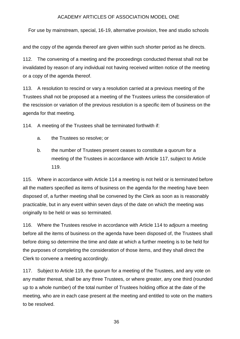For use by mainstream, special, 16-19, alternative provision, free and studio schools

and the copy of the agenda thereof are given within such shorter period as he directs.

112. The convening of a meeting and the proceedings conducted thereat shall not be invalidated by reason of any individual not having received written notice of the meeting or a copy of the agenda thereof.

113. A resolution to rescind or vary a resolution carried at a previous meeting of the Trustees shall not be proposed at a meeting of the Trustees unless the consideration of the rescission or variation of the previous resolution is a specific item of business on the agenda for that meeting.

114. A meeting of the Trustees shall be terminated forthwith if:

- a. the Trustees so resolve; or
- b. the number of Trustees present ceases to constitute a quorum for a meeting of the Trustees in accordance with Article 117, subject to Article 119.

115. Where in accordance with Article 114 a meeting is not held or is terminated before all the matters specified as items of business on the agenda for the meeting have been disposed of, a further meeting shall be convened by the Clerk as soon as is reasonably practicable, but in any event within seven days of the date on which the meeting was originally to be held or was so terminated.

116. Where the Trustees resolve in accordance with Article 114 to adjourn a meeting before all the items of business on the agenda have been disposed of, the Trustees shall before doing so determine the time and date at which a further meeting is to be held for the purposes of completing the consideration of those items, and they shall direct the Clerk to convene a meeting accordingly.

117. Subject to Article 119, the quorum for a meeting of the Trustees, and any vote on any matter thereat, shall be any three Trustees, or where greater, any one third (rounded up to a whole number) of the total number of Trustees holding office at the date of the meeting, who are in each case present at the meeting and entitled to vote on the matters to be resolved.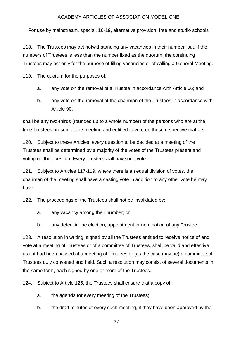For use by mainstream, special, 16-19, alternative provision, free and studio schools

118. The Trustees may act notwithstanding any vacancies in their number, but, if the numbers of Trustees is less than the number fixed as the quorum, the continuing Trustees may act only for the purpose of filling vacancies or of calling a General Meeting.

119. The quorum for the purposes of:

- a. any vote on the removal of a Trustee in accordance with Article 66; and
- b. any vote on the removal of the chairman of the Trustees in accordance with Article 90;

shall be any two-thirds (rounded up to a whole number) of the persons who are at the time Trustees present at the meeting and entitled to vote on those respective matters.

120. Subject to these Articles, every question to be decided at a meeting of the Trustees shall be determined by a majority of the votes of the Trustees present and voting on the question. Every Trustee shall have one vote.

121. Subject to Articles 117-119, where there is an equal division of votes, the chairman of the meeting shall have a casting vote in addition to any other vote he may have.

122. The proceedings of the Trustees shall not be invalidated by:

- a. any vacancy among their number; or
- b. any defect in the election, appointment or nomination of any Trustee.

123. A resolution in writing, signed by all the Trustees entitled to receive notice of and vote at a meeting of Trustees or of a committee of Trustees, shall be valid and effective as if it had been passed at a meeting of Trustees or (as the case may be) a committee of Trustees duly convened and held. Such a resolution may consist of several documents in the same form, each signed by one or more of the Trustees.

124. Subject to Article 125, the Trustees shall ensure that a copy of:

- a. the agenda for every meeting of the Trustees;
- b. the draft minutes of every such meeting, if they have been approved by the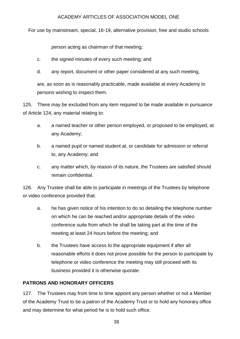For use by mainstream, special, 16-19, alternative provision, free and studio schools

person acting as chairman of that meeting;

- c. the signed minutes of every such meeting; and
- d. any report, document or other paper considered at any such meeting,

are, as soon as is reasonably practicable, made available at every Academy to persons wishing to inspect them.

125. There may be excluded from any item required to be made available in pursuance of Article 124, any material relating to:

- a. a named teacher or other person employed, or proposed to be employed, at any Academy;
- b. a named pupil or named student at, or candidate for admission or referral to, any Academy; and
- c. any matter which, by reason of its nature, the Trustees are satisfied should remain confidential.

126. Any Trustee shall be able to participate in meetings of the Trustees by telephone or video conference provided that:

- a. he has given notice of his intention to do so detailing the telephone number on which he can be reached and/or appropriate details of the video conference suite from which he shall be taking part at the time of the meeting at least 24 hours before the meeting; and
- b. the Trustees have access to the appropriate equipment if after all reasonable efforts it does not prove possible for the person to participate by telephone or video conference the meeting may still proceed with its business provided it is otherwise quorate.

# <span id="page-37-0"></span>**PATRONS AND HONORARY OFFICERS**

127. The Trustees may from time to time appoint any person whether or not a Member of the Academy Trust to be a patron of the Academy Trust or to hold any honorary office and may determine for what period he is to hold such office.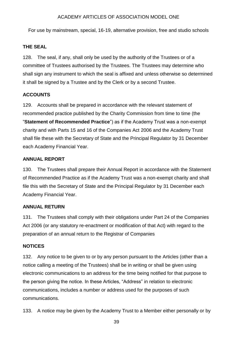For use by mainstream, special, 16-19, alternative provision, free and studio schools

#### <span id="page-38-0"></span>**THE SEAL**

128. The seal, if any, shall only be used by the authority of the Trustees or of a committee of Trustees authorised by the Trustees. The Trustees may determine who shall sign any instrument to which the seal is affixed and unless otherwise so determined it shall be signed by a Trustee and by the Clerk or by a second Trustee.

## <span id="page-38-1"></span>**ACCOUNTS**

129. Accounts shall be prepared in accordance with the relevant statement of recommended practice published by the Charity Commission from time to time (the "**Statement of Recommended Practice**") as if the Academy Trust was a non-exempt charity and with Parts 15 and 16 of the Companies Act 2006 and the Academy Trust shall file these with the Secretary of State and the Principal Regulator by 31 December each Academy Financial Year.

## <span id="page-38-2"></span>**ANNUAL REPORT**

130. The Trustees shall prepare their Annual Report in accordance with the Statement of Recommended Practice as if the Academy Trust was a non-exempt charity and shall file this with the Secretary of State and the Principal Regulator by 31 December each Academy Financial Year.

## <span id="page-38-3"></span>**ANNUAL RETURN**

131. The Trustees shall comply with their obligations under Part 24 of the Companies Act 2006 (or any statutory re-enactment or modification of that Act) with regard to the preparation of an annual return to the Registrar of Companies

## <span id="page-38-4"></span>**NOTICES**

132. Any notice to be given to or by any person pursuant to the Articles (other than a notice calling a meeting of the Trustees) shall be in writing or shall be given using electronic communications to an address for the time being notified for that purpose to the person giving the notice. In these Articles, "Address" in relation to electronic communications, includes a number or address used for the purposes of such communications.

133. A notice may be given by the Academy Trust to a Member either personally or by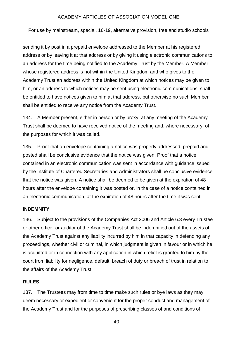For use by mainstream, special, 16-19, alternative provision, free and studio schools

sending it by post in a prepaid envelope addressed to the Member at his registered address or by leaving it at that address or by giving it using electronic communications to an address for the time being notified to the Academy Trust by the Member. A Member whose registered address is not within the United Kingdom and who gives to the Academy Trust an address within the United Kingdom at which notices may be given to him, or an address to which notices may be sent using electronic communications, shall be entitled to have notices given to him at that address, but otherwise no such Member shall be entitled to receive any notice from the Academy Trust.

134. A Member present, either in person or by proxy, at any meeting of the Academy Trust shall be deemed to have received notice of the meeting and, where necessary, of the purposes for which it was called.

135. Proof that an envelope containing a notice was properly addressed, prepaid and posted shall be conclusive evidence that the notice was given. Proof that a notice contained in an electronic communication was sent in accordance with guidance issued by the Institute of Chartered Secretaries and Administrators shall be conclusive evidence that the notice was given. A notice shall be deemed to be given at the expiration of 48 hours after the envelope containing it was posted or, in the case of a notice contained in an electronic communication, at the expiration of 48 hours after the time it was sent.

#### <span id="page-39-0"></span>**INDEMNITY**

136. Subject to the provisions of the Companies Act 2006 and Article 6.3 every Trustee or other officer or auditor of the Academy Trust shall be indemnified out of the assets of the Academy Trust against any liability incurred by him in that capacity in defending any proceedings, whether civil or criminal, in which judgment is given in favour or in which he is acquitted or in connection with any application in which relief is granted to him by the court from liability for negligence, default, breach of duty or breach of trust in relation to the affairs of the Academy Trust.

#### <span id="page-39-1"></span>**RULES**

137. The Trustees may from time to time make such rules or bye laws as they may deem necessary or expedient or convenient for the proper conduct and management of the Academy Trust and for the purposes of prescribing classes of and conditions of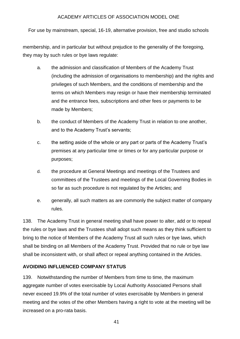For use by mainstream, special, 16-19, alternative provision, free and studio schools

membership, and in particular but without prejudice to the generality of the foregoing, they may by such rules or bye laws regulate:

- a. the admission and classification of Members of the Academy Trust (including the admission of organisations to membership) and the rights and privileges of such Members, and the conditions of membership and the terms on which Members may resign or have their membership terminated and the entrance fees, subscriptions and other fees or payments to be made by Members;
- b. the conduct of Members of the Academy Trust in relation to one another, and to the Academy Trust's servants;
- c. the setting aside of the whole or any part or parts of the Academy Trust's premises at any particular time or times or for any particular purpose or purposes;
- d. the procedure at General Meetings and meetings of the Trustees and committees of the Trustees and meetings of the Local Governing Bodies in so far as such procedure is not regulated by the Articles; and
- e. generally, all such matters as are commonly the subject matter of company rules.

138. The Academy Trust in general meeting shall have power to alter, add or to repeal the rules or bye laws and the Trustees shall adopt such means as they think sufficient to bring to the notice of Members of the Academy Trust all such rules or bye laws, which shall be binding on all Members of the Academy Trust. Provided that no rule or bye law shall be inconsistent with, or shall affect or repeal anything contained in the Articles.

## <span id="page-40-0"></span>**AVOIDING INFLUENCED COMPANY STATUS**

139. Notwithstanding the number of Members from time to time, the maximum aggregate number of votes exercisable by Local Authority Associated Persons shall never exceed 19.9% of the total number of votes exercisable by Members in general meeting and the votes of the other Members having a right to vote at the meeting will be increased on a pro-rata basis.